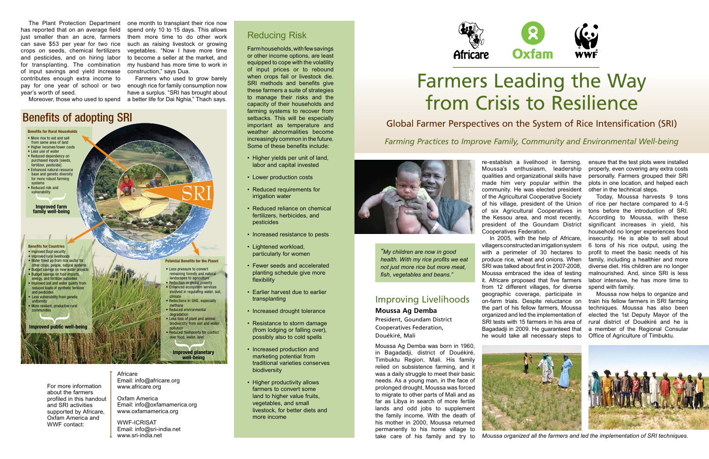The Plant Protection Department has reported that on an average field just smaller than an acre, farmers can save \$53 per year for two rice crops on seeds, chemical fertilizers and pesticides, and on hiring labor for transplanting. The combination of input savings and yield increase contributes enough extra income to pay for one year of school or two year's worth of seed.

one month to transplant their rice now spend only 10 to 15 days. This allows them more time to do other work such as raising livestock or growing vegetables. "Now I have more time to become a seller at the market, and my husband has more time to work in construction," says Dua.

Moreover, those who used to spend a better life for Dai Nghia," Thach says. Farmers who used to grow barely enough rice for family consumption now have a surplus. "SRI has brought about



Africare Email: info@africare.org www.africare.org

Oxfam America Email: info@oxfamamerica.org www.oxfamamerica.org

WWF-ICRISAT Email: info@sri-india.net www.sri-india.net

### Reducing Risk

Farm households, with few savings or other income options, are least equipped to cope with the volatility of input prices or to rebound when crops fail or livestock die. SRI methods and benefits give these farmers a suite of strategies to manage their risks and the capacity of their households and farming systems to recover from setbacks. This will be especially important as temperature and weather abnormalities become increasingly common in the future. Some of these benefits include:

- Higher yields per unit of land, labor and capital invested
- Lower production costs
- Reduced requirements for irrigation water
- Reduced reliance on chemical fertilizers, herbicides, and pesticides
- Increased resistance to pests
- Lightened workload, particularly for women
- Fewer seeds and accelerated planting schedule give more flexibility
- Earlier harvest due to earlier transplanting
- Increased drought tolerance
- Resistance to storm damage (from lodging or falling over), possibly also to cold spells
- Increased production and marketing potential from traditional varieties conserves biodiversity
- Higher productivity allows farmers to convert some land to higher value fruits. vegetables, and small livestock, for better diets and more income



For more information about the farmers profiled in this handout and SRI activities supported by Africare, Oxfam America and WWF contact:

# Farmers Leading the Way from Crisis to Resilience

# Global Farmer Perspectives on the System of Rice Intensification (SRI)

*Farming Practices to Improve Family, Community and Environmental Well-being*



geographic coverage, participate in on-farm trials. Despite reluctance on the part of his fellow farmers, Moussa organized and led the implementation of SRI tests with 15 farmers in his area of Bagadadji in 2009. He guaranteed that he would take all necessary steps to







re-establish a livelihood in farming. Moussa's enthusiasm, leadership qualities and organizational skills have made him very popular within the community. He was elected president of the Agricultural Cooperative Society of his village, president of the Union of six Agricultural Cooperatives in the Kessou area, and most recently, president of the Goundam District Cooperatives Federation. In 2005, with the help of Africare, villagers constructed an irrigation system with a perimeter of 30 hectares to produce rice, wheat and onions. When SRI was talked about first in 2007-2008, Moussa embraced the idea of testing it. Africare proposed that five farmers from 12 different villages, for diverse ensure that the test plots were installed properly, even covering any extra costs personally. Farmers grouped their SRI plots in one location, and helped each other in the technical steps. Today, Moussa harvests 9 tons of rice per hectare compared to 4-5 tons before the introduction of SRI. According to Moussa, with these significant increases in yield, his household no longer experiences food insecurity. He is able to sell about 6 tons of his rice output, using the profit to meet the basic needs of his family, including a healthier and more diverse diet. His children are no longer malnourished. And, since SRI is less labor intensive, he has more time to spend with family.

# Improving Livelihoods **Moussa Ag Demba**

President, Goundam District Cooperatives Federation, Douékiré, Mali

Moussa now helps to organize and train his fellow farmers in SRI farming techniques. Moussa has also been elected the 1st Deputy Mayor of the rural district of Douékiré and he is a member of the Regional Consular Office of Agriculture of Timbuktu.

Moussa Ag Demba was born in 1960, in Bagadadji, district of Douékiré, Timbuktu Region, Mali. His family relied on subsistence farming, and it was a daily struggle to meet their basic needs. As a young man, in the face of prolonged drought, Moussa was forced to migrate to other parts of Mali and as far as Libya in search of more fertile lands and odd jobs to supplement the family income. With the death of his mother in 2000, Moussa returned permanently to his home village to take care of his family and try to

*"My children are now in good health. With my rice profits we eat not just more rice but more meat, fish, vegetables and beans."*



*Moussa organized all the farmers and led the implementation of SRI techniques.*